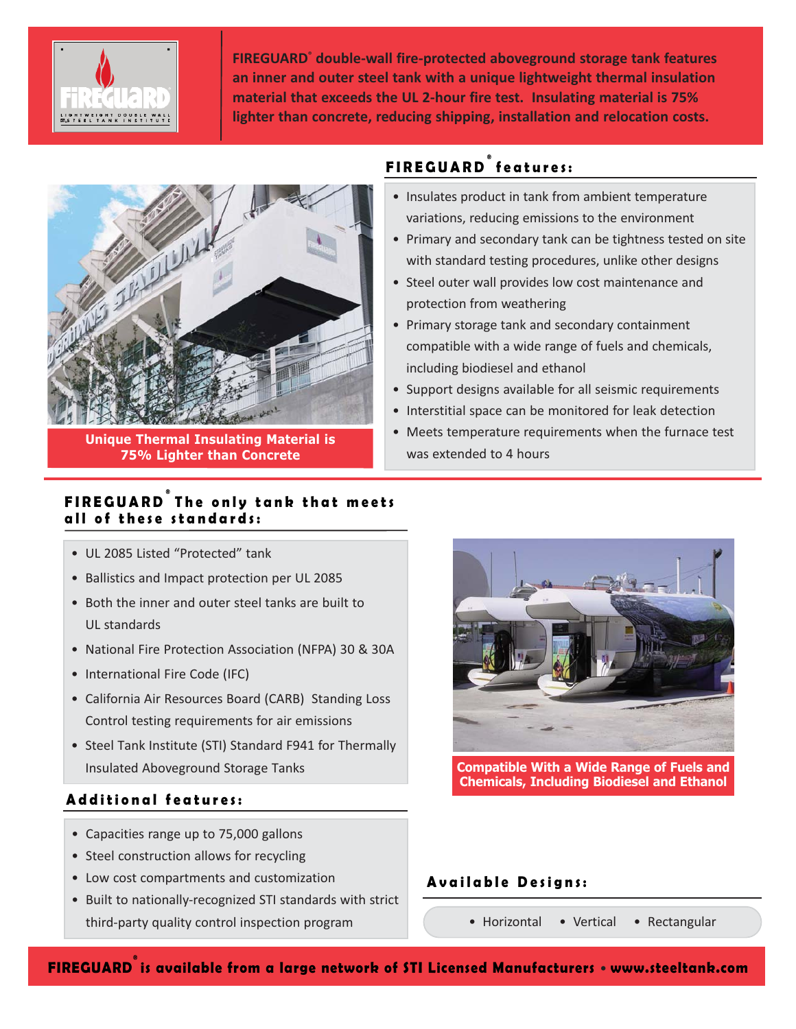

**FIREGUARD® double-wall fire-protected aboveground storage tank features an inner and outer steel tank with a unique lightweight thermal insulation material that exceeds the UL 2-hour fire test. Insulating material is 75% lighter than concrete, reducing shipping, installation and relocation costs.**

**FIREGUARD ® features:**

protection from weathering

including biodiesel and ethanol

was extended to 4 hours

• Insulates product in tank from ambient temperature variations, reducing emissions to the environment

• Steel outer wall provides low cost maintenance and

• Primary storage tank and secondary containment

compatible with a wide range of fuels and chemicals,

• Support designs available for all seismic requirements • Interstitial space can be monitored for leak detection • Meets temperature requirements when the furnace test

• Primary and secondary tank can be tightness tested on site with standard testing procedures, unlike other designs



**Unique Thermal Insulating Material is 75% Lighter than Concrete**

# **FIREGUARD ® The only tank that meets all of these standards:**

- UL 2085 Listed "Protected" tank
- Ballistics and Impact protection per UL 2085
- Both the inner and outer steel tanks are built to UL standards
- National Fire Protection Association (NFPA) 30 & 30A
- International Fire Code (IFC)
- California Air Resources Board (CARB) Standing Loss Control testing requirements for air emissions
- Steel Tank Institute (STI) Standard F941 for Thermally Insulated Aboveground Storage Tanks

# **Additional features:**

- Capacities range up to 75,000 gallons
- Steel construction allows for recycling
- Low cost compartments and customization
- Built to nationally-recognized STI standards with strict third-party quality control inspection program

**Compatible With a Wide Range of Fuels and Chemicals, Including Biodiesel and Ethanol**

## **Available Designs:**

• Horizontal • Vertical • Rectangular

**FIREGUARD® is available from a large network of STI Licensed Manufacturers** • **www.steeltank.com**